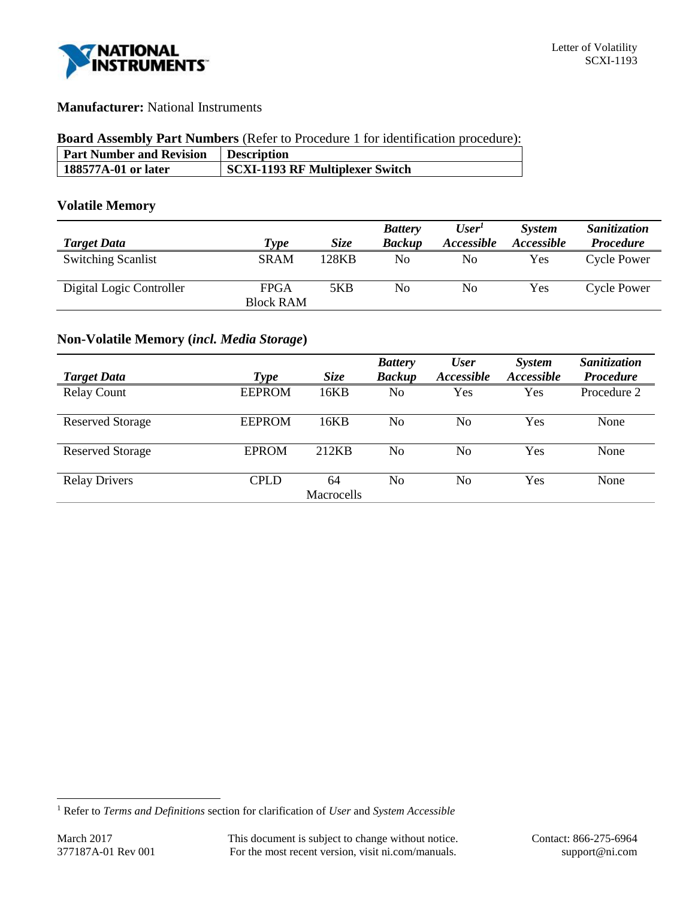

## **Manufacturer:** National Instruments

## **Board Assembly Part Numbers** (Refer to Procedure 1 for identification procedure):

| <b>Part Number and Revision</b> | <b>Description</b>                     |
|---------------------------------|----------------------------------------|
| 188577A-01 or later             | <b>SCXI-1193 RF Multiplexer Switch</b> |

## **Volatile Memory**

|                           |                  |             | <b>Battery</b> | User'             | <b>System</b>            | Sanitization       |
|---------------------------|------------------|-------------|----------------|-------------------|--------------------------|--------------------|
| <b>Target Data</b>        | Type             | <b>Size</b> | <b>Backup</b>  | <i>Accessible</i> | <i><b>Accessible</b></i> | <b>Procedure</b>   |
| <b>Switching Scanlist</b> | <b>SRAM</b>      | 128KB       | No             | No                | Yes                      | <b>Cycle Power</b> |
| Digital Logic Controller  | FPGA             | 5KB         | No             | No                | Yes                      | Cycle Power        |
|                           | <b>Block RAM</b> |             |                |                   |                          |                    |

# **Non-Volatile Memory (***incl. Media Storage***)**

|                         |               |             | <b>Battery</b> | <b>User</b>       | System            | Sanitization     |
|-------------------------|---------------|-------------|----------------|-------------------|-------------------|------------------|
| <b>Target Data</b>      | Type          | <b>Size</b> | <b>Backup</b>  | <b>Accessible</b> | <i>Accessible</i> | <b>Procedure</b> |
| <b>Relay Count</b>      | <b>EEPROM</b> | 16KB        | No             | Yes               | Yes               | Procedure 2      |
| <b>Reserved Storage</b> | <b>EEPROM</b> | 16KB        | No             | No                | Yes               | None             |
| <b>Reserved Storage</b> | <b>EPROM</b>  | 212KB       | No             | No                | Yes               | None             |
| <b>Relay Drivers</b>    | <b>CPLD</b>   | 64          | No             | No                | Yes               | None             |
|                         |               | Macrocells  |                |                   |                   |                  |

l

<sup>1</sup> Refer to *Terms and Definitions* section for clarification of *User* and *System Accessible*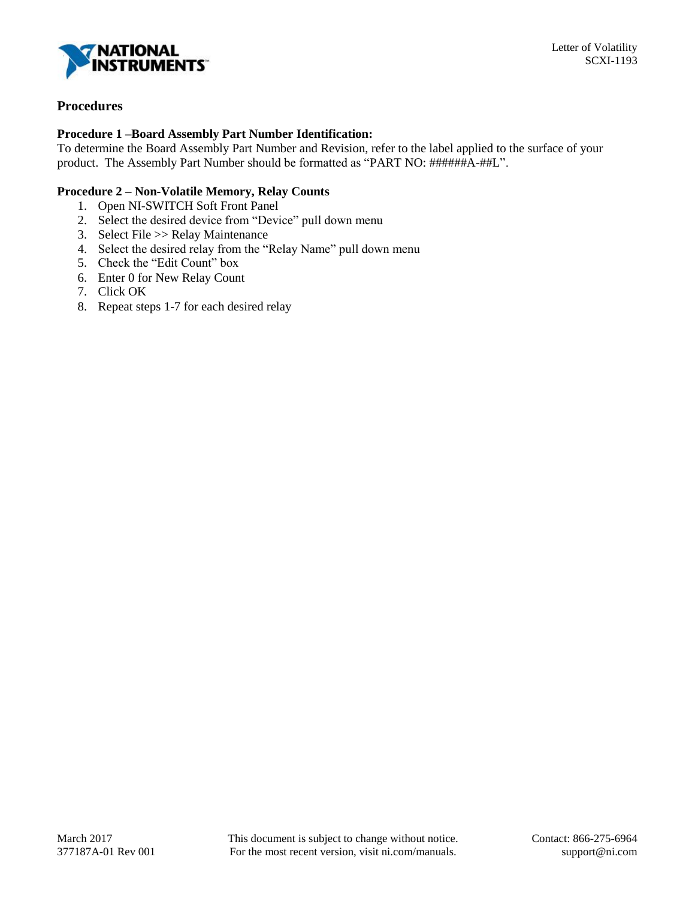

## **Procedures**

## **Procedure 1 –Board Assembly Part Number Identification:**

To determine the Board Assembly Part Number and Revision, refer to the label applied to the surface of your product. The Assembly Part Number should be formatted as "PART NO: ######A-##L".

## **Procedure 2 – Non-Volatile Memory, Relay Counts**

- 1. Open NI-SWITCH Soft Front Panel
- 2. Select the desired device from "Device" pull down menu
- 3. Select File >> Relay Maintenance
- 4. Select the desired relay from the "Relay Name" pull down menu
- 5. Check the "Edit Count" box
- 6. Enter 0 for New Relay Count
- 7. Click OK
- 8. Repeat steps 1-7 for each desired relay